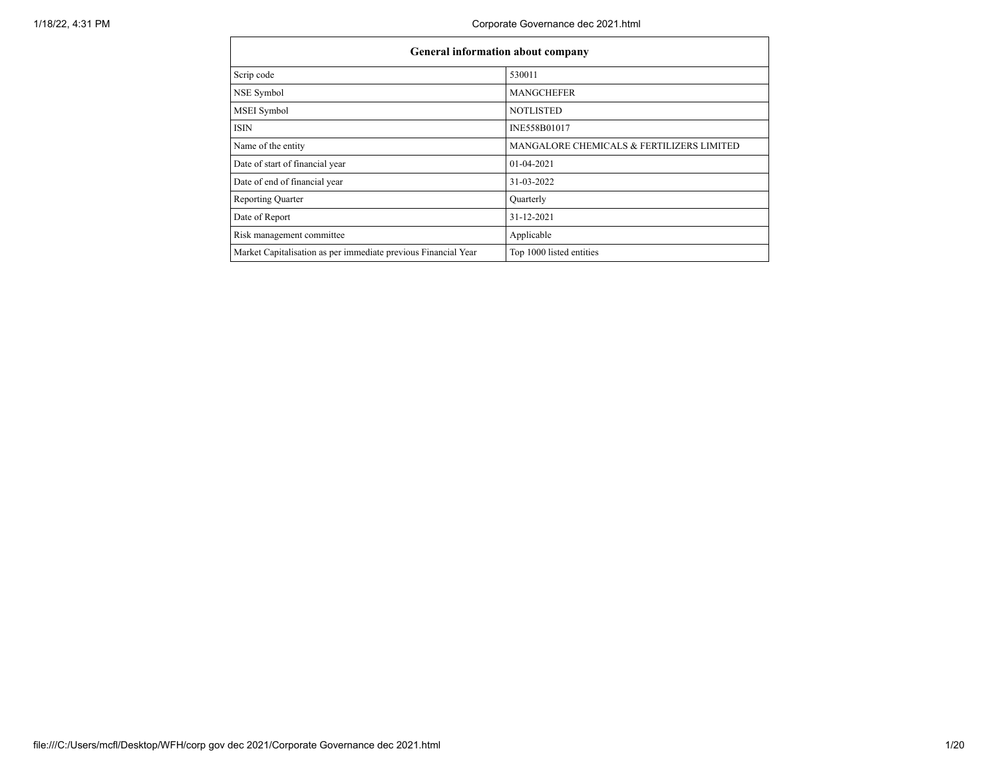| General information about company                              |                                           |
|----------------------------------------------------------------|-------------------------------------------|
| Scrip code                                                     | 530011                                    |
| NSE Symbol                                                     | <b>MANGCHEFER</b>                         |
| <b>MSEI</b> Symbol                                             | <b>NOTLISTED</b>                          |
| <b>ISIN</b>                                                    | INE558B01017                              |
| Name of the entity                                             | MANGALORE CHEMICALS & FERTILIZERS LIMITED |
| Date of start of financial year                                | $01-04-2021$                              |
| Date of end of financial year                                  | 31-03-2022                                |
| <b>Reporting Quarter</b>                                       | Quarterly                                 |
| Date of Report                                                 | 31-12-2021                                |
| Risk management committee                                      | Applicable                                |
| Market Capitalisation as per immediate previous Financial Year | Top 1000 listed entities                  |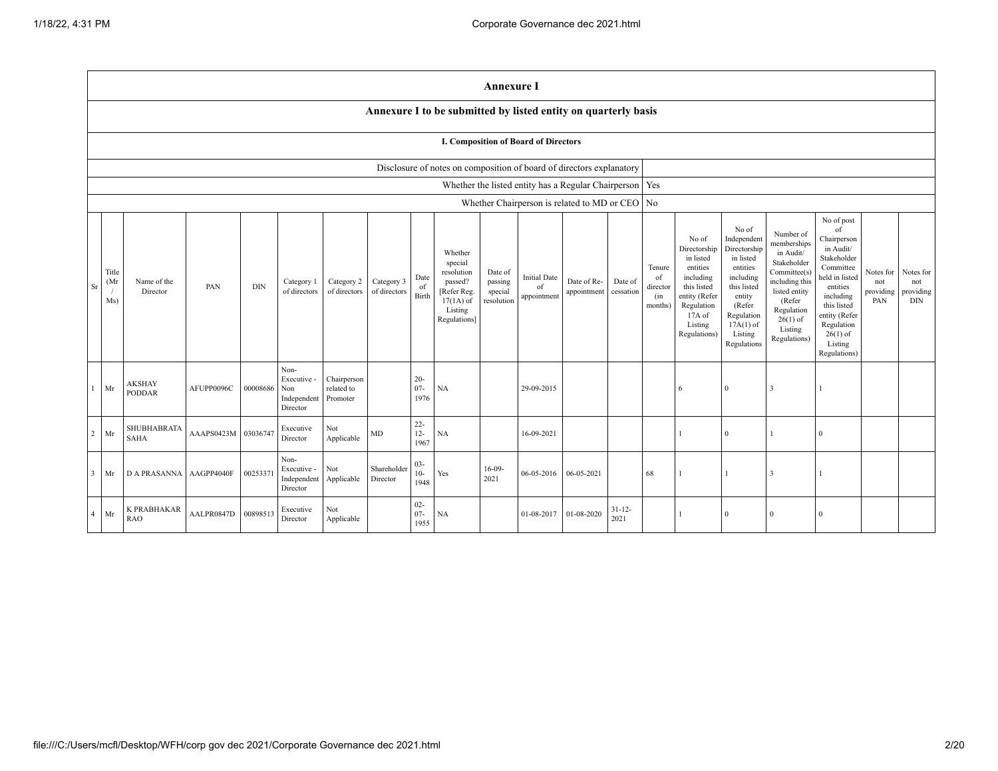|                |                                                                      | <b>Annexure I</b>                                              |            |            |                                                       |                                       |                            |                          |                                                                                                      |                                             |                                          |                                                     |                      |                                            |                                                                                                                                                  |                                                                                                                                                                      |                                                                                                                                                                           |                                                                                                                                                                                                            |                                      |                                             |
|----------------|----------------------------------------------------------------------|----------------------------------------------------------------|------------|------------|-------------------------------------------------------|---------------------------------------|----------------------------|--------------------------|------------------------------------------------------------------------------------------------------|---------------------------------------------|------------------------------------------|-----------------------------------------------------|----------------------|--------------------------------------------|--------------------------------------------------------------------------------------------------------------------------------------------------|----------------------------------------------------------------------------------------------------------------------------------------------------------------------|---------------------------------------------------------------------------------------------------------------------------------------------------------------------------|------------------------------------------------------------------------------------------------------------------------------------------------------------------------------------------------------------|--------------------------------------|---------------------------------------------|
|                |                                                                      | Annexure I to be submitted by listed entity on quarterly basis |            |            |                                                       |                                       |                            |                          |                                                                                                      |                                             |                                          |                                                     |                      |                                            |                                                                                                                                                  |                                                                                                                                                                      |                                                                                                                                                                           |                                                                                                                                                                                                            |                                      |                                             |
|                |                                                                      | I. Composition of Board of Directors                           |            |            |                                                       |                                       |                            |                          |                                                                                                      |                                             |                                          |                                                     |                      |                                            |                                                                                                                                                  |                                                                                                                                                                      |                                                                                                                                                                           |                                                                                                                                                                                                            |                                      |                                             |
|                | Disclosure of notes on composition of board of directors explanatory |                                                                |            |            |                                                       |                                       |                            |                          |                                                                                                      |                                             |                                          |                                                     |                      |                                            |                                                                                                                                                  |                                                                                                                                                                      |                                                                                                                                                                           |                                                                                                                                                                                                            |                                      |                                             |
|                |                                                                      |                                                                |            |            |                                                       |                                       |                            |                          |                                                                                                      |                                             |                                          | Whether the listed entity has a Regular Chairperson |                      | Yes                                        |                                                                                                                                                  |                                                                                                                                                                      |                                                                                                                                                                           |                                                                                                                                                                                                            |                                      |                                             |
|                |                                                                      |                                                                |            |            |                                                       |                                       |                            |                          |                                                                                                      |                                             |                                          | Whether Chairperson is related to MD or CEO   No    |                      |                                            |                                                                                                                                                  |                                                                                                                                                                      |                                                                                                                                                                           |                                                                                                                                                                                                            |                                      |                                             |
| Sr             | Title<br>(Mr<br>Ms)                                                  | Name of the<br>Director                                        | PAN        | <b>DIN</b> | Category 1<br>of directors                            | Category 2<br>of directors            | Category 3<br>of directors | Date<br>of<br>Birth      | Whether<br>special<br>resolution<br>passed?<br>[Refer Reg.<br>$17(1A)$ of<br>Listing<br>Regulations] | Date of<br>passing<br>special<br>resolution | <b>Initial Date</b><br>of<br>appointment | Date of Re-<br>appointment                          | Date of<br>cessation | Tenure<br>of<br>director<br>(in<br>months) | No of<br>Directorship<br>in listed<br>entities<br>including<br>this listed<br>entity (Refer<br>Regulation<br>$17A$ of<br>Listing<br>Regulations) | No of<br>Independent<br>Directorship<br>in listed<br>entities<br>including<br>this listed<br>entity<br>(Refer<br>Regulation<br>$17A(1)$ of<br>Listing<br>Regulations | Number of<br>memberships<br>in Audit/<br>Stakeholder<br>Committee(s)<br>including this<br>listed entity<br>(Refer)<br>Regulation<br>$26(1)$ of<br>Listing<br>Regulations) | No of post<br>of<br>Chairperson<br>in Audit/<br>Stakeholder<br>Committee<br>held in listed<br>entities<br>including<br>this listed<br>entity (Refer<br>Regulation<br>$26(1)$ of<br>Listing<br>Regulations) | Notes for<br>not<br>providing<br>PAN | Notes for<br>not<br>providing<br><b>DIN</b> |
| $\mathbf{1}$   | Mr                                                                   | <b>AKSHAY</b><br><b>PODDAR</b>                                 | AFUPP0096C | 00008686   | Non-<br>Executive -<br>Non<br>Independent<br>Director | Chairperson<br>related to<br>Promoter |                            | $20 -$<br>$07 -$<br>1976 | NA                                                                                                   |                                             | 29-09-2015                               |                                                     |                      |                                            | 6                                                                                                                                                | $\mathbf{0}$                                                                                                                                                         | 3                                                                                                                                                                         |                                                                                                                                                                                                            |                                      |                                             |
| $\overline{2}$ | Mr                                                                   | SHUBHABRATA<br><b>SAHA</b>                                     | AAAPS0423M | 03036747   | Executive<br>Director                                 | Not<br>Applicable                     | MD                         | $22 -$<br>$12 -$<br>1967 | NA                                                                                                   |                                             | 16-09-2021                               |                                                     |                      |                                            |                                                                                                                                                  | $\overline{0}$                                                                                                                                                       |                                                                                                                                                                           | $\Omega$                                                                                                                                                                                                   |                                      |                                             |
| $\overline{3}$ | Mr                                                                   | <b>D A PRASANNA</b>                                            | AAGPP4040F | 0025337    | Non-<br>Executive -<br>Independent<br>Director        | Not<br>Applicable                     | Shareholder<br>Director    | $03 -$<br>$10-$<br>1948  | Yes                                                                                                  | $16-09-$<br>2021                            | 06-05-2016                               | 06-05-2021                                          |                      | 68                                         |                                                                                                                                                  | $\overline{1}$                                                                                                                                                       | 3                                                                                                                                                                         |                                                                                                                                                                                                            |                                      |                                             |
| $\overline{4}$ | Mr                                                                   | K PRABHAKAR<br><b>RAO</b>                                      | AALPR0847D | 00898513   | Executive<br>Director                                 | Not<br>Applicable                     |                            | $02 -$<br>$07 -$<br>1955 | <b>NA</b>                                                                                            |                                             | 01-08-2017                               | 01-08-2020                                          | $31 - 12 -$<br>2021  |                                            |                                                                                                                                                  | $\overline{0}$                                                                                                                                                       | $\theta$                                                                                                                                                                  | $\Omega$                                                                                                                                                                                                   |                                      |                                             |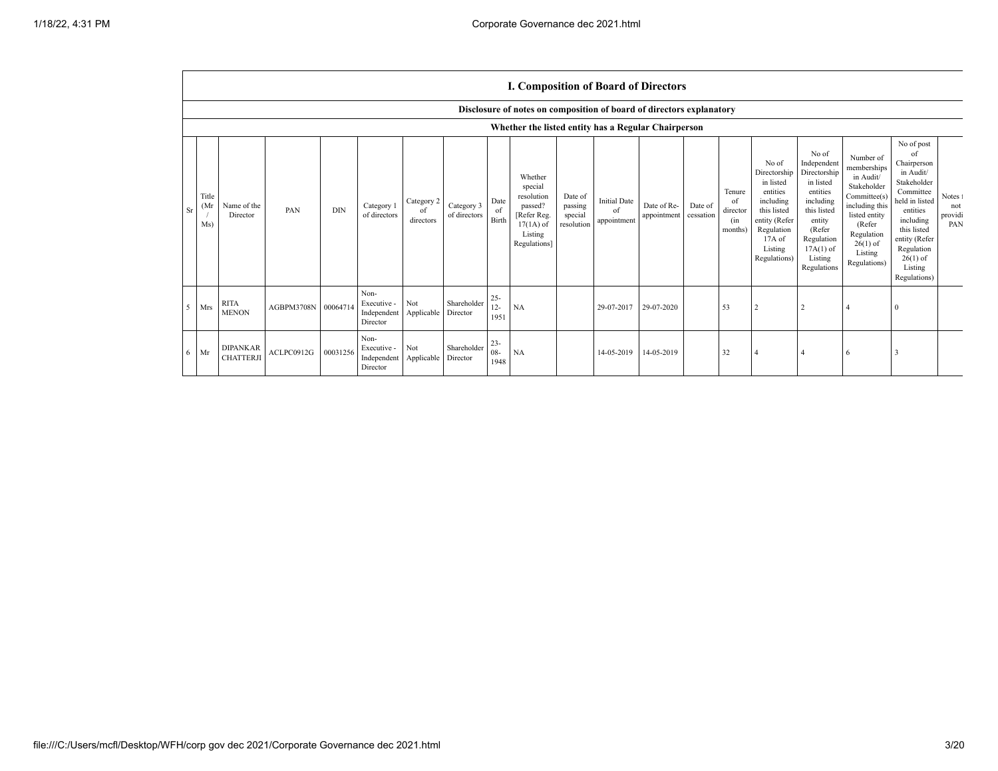$\Gamma$ 

|                            |                                                     |                     |            |                                                           |                               |                            |                          | I. Composition of Board of Directors                                                                 |                                             |                                          |                                      |         |                                                       |                                                                                                                                                  |                                                                                                                                                                      |                                                                                                                                                                          |                                                                                                                                                                                                            |                                  |
|----------------------------|-----------------------------------------------------|---------------------|------------|-----------------------------------------------------------|-------------------------------|----------------------------|--------------------------|------------------------------------------------------------------------------------------------------|---------------------------------------------|------------------------------------------|--------------------------------------|---------|-------------------------------------------------------|--------------------------------------------------------------------------------------------------------------------------------------------------|----------------------------------------------------------------------------------------------------------------------------------------------------------------------|--------------------------------------------------------------------------------------------------------------------------------------------------------------------------|------------------------------------------------------------------------------------------------------------------------------------------------------------------------------------------------------------|----------------------------------|
|                            |                                                     |                     |            |                                                           |                               |                            |                          | Disclosure of notes on composition of board of directors explanatory                                 |                                             |                                          |                                      |         |                                                       |                                                                                                                                                  |                                                                                                                                                                      |                                                                                                                                                                          |                                                                                                                                                                                                            |                                  |
|                            | Whether the listed entity has a Regular Chairperson |                     |            |                                                           |                               |                            |                          |                                                                                                      |                                             |                                          |                                      |         |                                                       |                                                                                                                                                  |                                                                                                                                                                      |                                                                                                                                                                          |                                                                                                                                                                                                            |                                  |
| Title<br>(Mr)<br>Sr<br>Ms) | Name of the<br>Director                             | PAN                 | <b>DIN</b> | Category 1<br>of directors                                | Category 2<br>of<br>directors | Category 3<br>of directors | Date<br>of<br>Birth      | Whether<br>special<br>resolution<br>passed?<br>[Refer Reg.<br>$17(1A)$ of<br>Listing<br>Regulations] | Date of<br>passing<br>special<br>resolution | <b>Initial Date</b><br>of<br>appointment | Date of Re-<br>appointment cessation | Date of | Tenure<br><sup>of</sup><br>director<br>(in<br>months) | No of<br>Directorship<br>in listed<br>entities<br>including<br>this listed<br>entity (Refer<br>Regulation<br>$17A$ of<br>Listing<br>Regulations) | No of<br>Independent<br>Directorship<br>in listed<br>entities<br>including<br>this listed<br>entity<br>(Refer<br>Regulation<br>$17A(1)$ of<br>Listing<br>Regulations | Number of<br>memberships<br>in Audit/<br>Stakeholder<br>Committee(s)<br>including this<br>listed entity<br>(Refer<br>Regulation<br>$26(1)$ of<br>Listing<br>Regulations) | No of post<br>of<br>Chairperson<br>in Audit/<br>Stakeholder<br>Committee<br>held in listed<br>entities<br>including<br>this listed<br>entity (Refer<br>Regulation<br>$26(1)$ of<br>Listing<br>Regulations) | Notes 1<br>not<br>providi<br>PAN |
| 5 <sup>7</sup><br>Mrs      | <b>RITA</b><br><b>MENON</b>                         | AGBPM3708N 00064714 |            | Non-<br>Executive -<br>Independent Applicable<br>Director | Not                           | Shareholder<br>Director    | $25 -$<br>$12 -$<br>1951 | NA                                                                                                   |                                             | 29-07-2017                               | 29-07-2020                           |         | 53                                                    |                                                                                                                                                  |                                                                                                                                                                      |                                                                                                                                                                          | $\Omega$                                                                                                                                                                                                   |                                  |
| 6<br>Mr                    | <b>DIPANKAR</b><br><b>CHATTERJI</b>                 | ACLPC0912G          | 00031256   | Non-<br>Executive -<br>Independent Applicable<br>Director | Not                           | Shareholder<br>Director    | $23 -$<br>$08 -$<br>1948 | <b>NA</b>                                                                                            |                                             | 14-05-2019                               | 14-05-2019                           |         | 32                                                    |                                                                                                                                                  |                                                                                                                                                                      | 6                                                                                                                                                                        | 3                                                                                                                                                                                                          |                                  |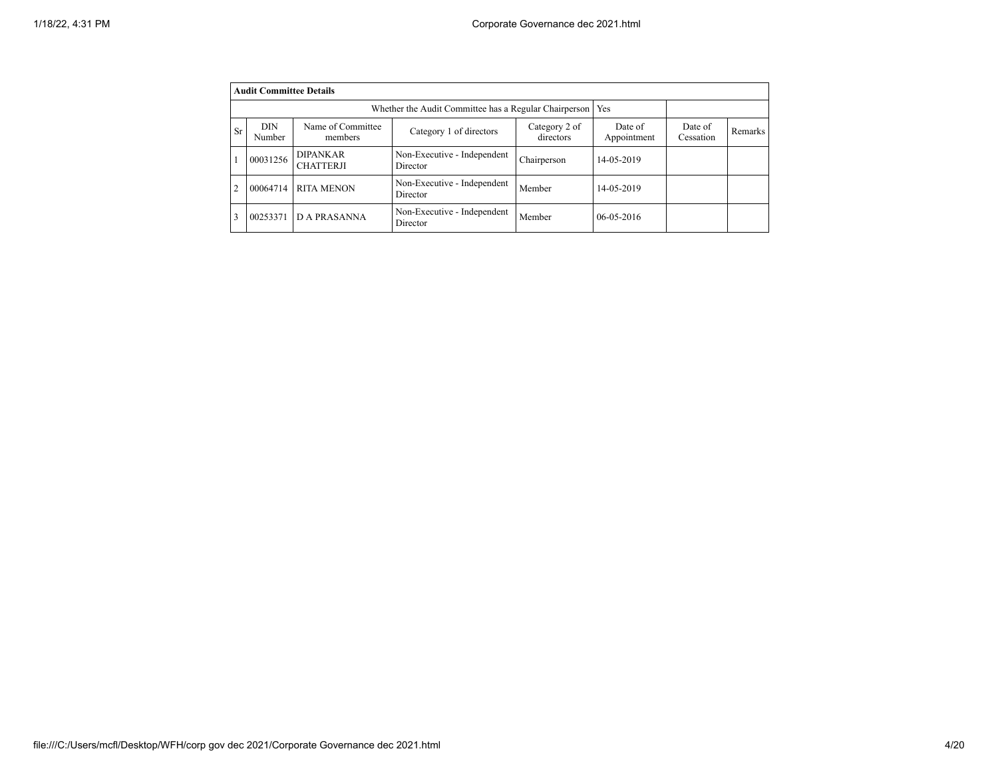|                | <b>Audit Committee Details</b>  |                                     |                                         |                      |                  |  |  |
|----------------|---------------------------------|-------------------------------------|-----------------------------------------|----------------------|------------------|--|--|
|                |                                 |                                     |                                         |                      |                  |  |  |
| <b>Sr</b>      | <b>DIN</b><br>Number            | Name of Committee<br>members        | Date of<br>Appointment                  | Date of<br>Cessation | <b>Remarks</b>   |  |  |
|                | 00031256                        | <b>DIPANKAR</b><br><b>CHATTERJI</b> | Non-Executive - Independent<br>Director | Chairperson          | 14-05-2019       |  |  |
| $\overline{2}$ | 00064714                        | <b>RITA MENON</b>                   | Non-Executive - Independent<br>Director | Member               | 14-05-2019       |  |  |
| 3              | <b>D A PRASANNA</b><br>00253371 |                                     | Non-Executive - Independent<br>Director | Member               | $06 - 05 - 2016$ |  |  |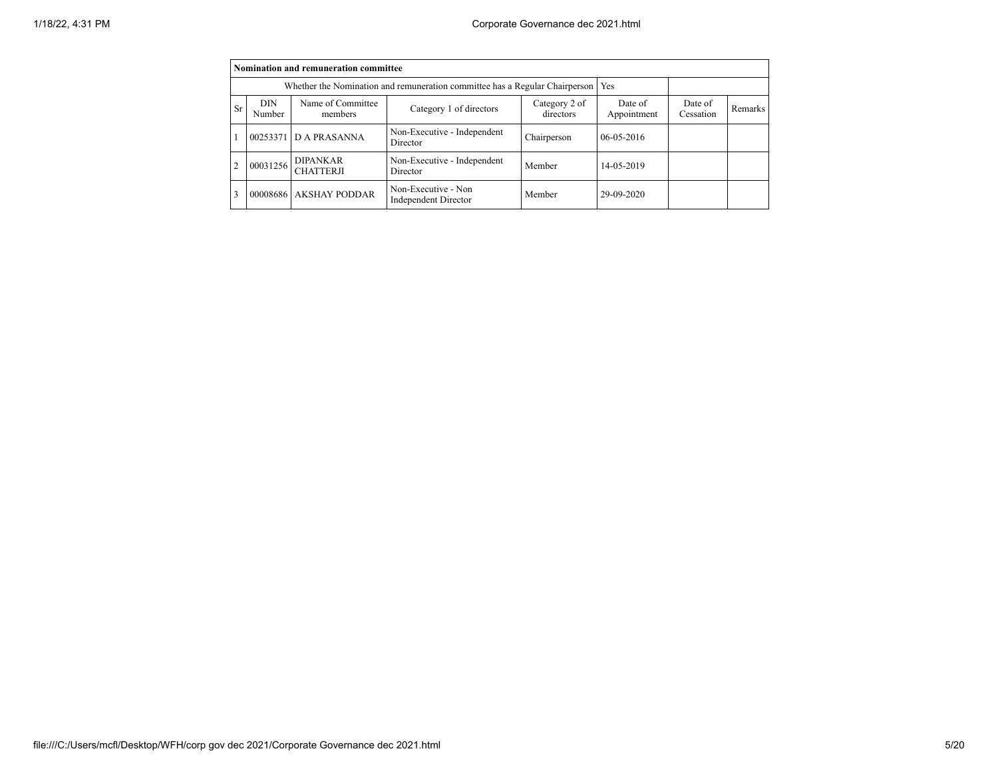|                |                                                                             | Nomination and remuneration committee |                                                    |                            |                        |                      |         |
|----------------|-----------------------------------------------------------------------------|---------------------------------------|----------------------------------------------------|----------------------------|------------------------|----------------------|---------|
|                | Whether the Nomination and remuneration committee has a Regular Chairperson | Yes                                   |                                                    |                            |                        |                      |         |
| <b>Sr</b>      | <b>DIN</b><br>Number                                                        | Name of Committee<br>members          | Category 1 of directors                            | Category 2 of<br>directors | Date of<br>Appointment | Date of<br>Cessation | Remarks |
|                |                                                                             | 00253371 D A PRASANNA                 | Non-Executive - Independent<br>Director            | Chairperson                | $06 - 05 - 2016$       |                      |         |
| $\overline{2}$ | 00031256                                                                    | <b>DIPANKAR</b><br><b>CHATTERJI</b>   | Non-Executive - Independent<br>Director            | Member                     | 14-05-2019             |                      |         |
| $\overline{3}$ |                                                                             | 00008686 AKSHAY PODDAR                | Non-Executive - Non<br><b>Independent Director</b> | Member                     | 29-09-2020             |                      |         |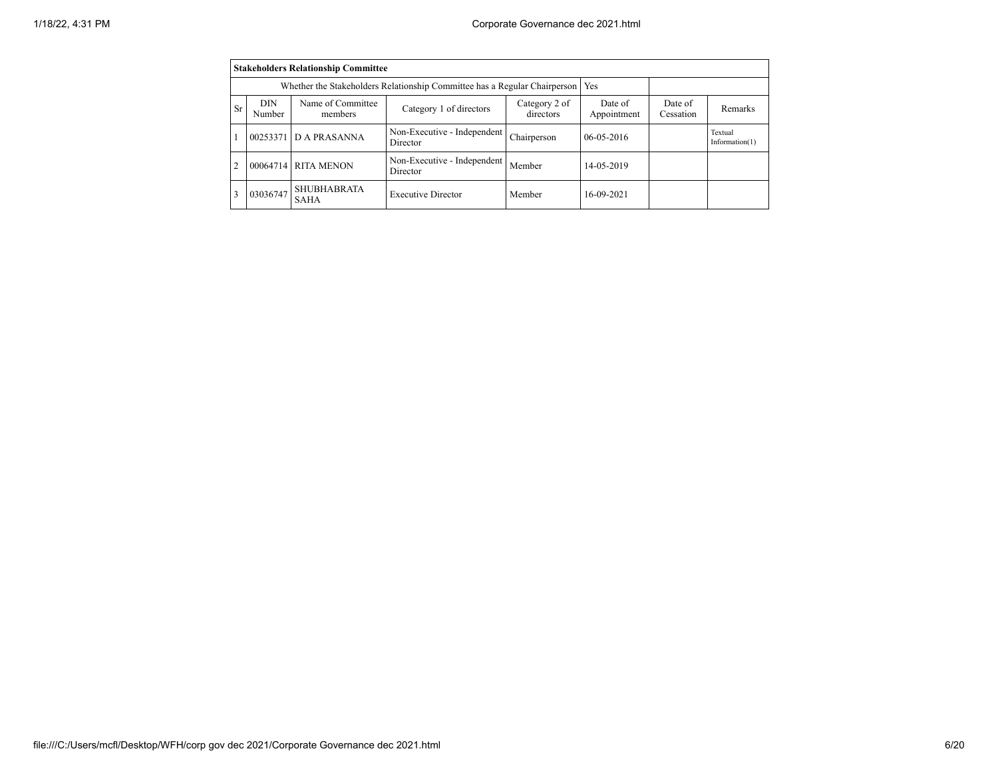|    | <b>Stakeholders Relationship Committee</b> |                                                                           |                                         |                            |                        |                      |                              |  |  |
|----|--------------------------------------------|---------------------------------------------------------------------------|-----------------------------------------|----------------------------|------------------------|----------------------|------------------------------|--|--|
|    |                                            | Whether the Stakeholders Relationship Committee has a Regular Chairperson | Yes                                     |                            |                        |                      |                              |  |  |
| Sr | DIN<br>Number                              | Name of Committee<br>members                                              | Category 1 of directors                 | Category 2 of<br>directors | Date of<br>Appointment | Date of<br>Cessation | Remarks                      |  |  |
|    |                                            | 00253371 D A PRASANNA                                                     | Non-Executive - Independent<br>Director | Chairperson                | $06 - 05 - 2016$       |                      | Textual<br>Information $(1)$ |  |  |
|    |                                            | 00064714 RITA MENON                                                       | Non-Executive - Independent<br>Director | Member                     | 14-05-2019             |                      |                              |  |  |
| 3  | 03036747                                   | <b>SHUBHABRATA</b><br><b>SAHA</b>                                         | <b>Executive Director</b>               | Member                     | 16-09-2021             |                      |                              |  |  |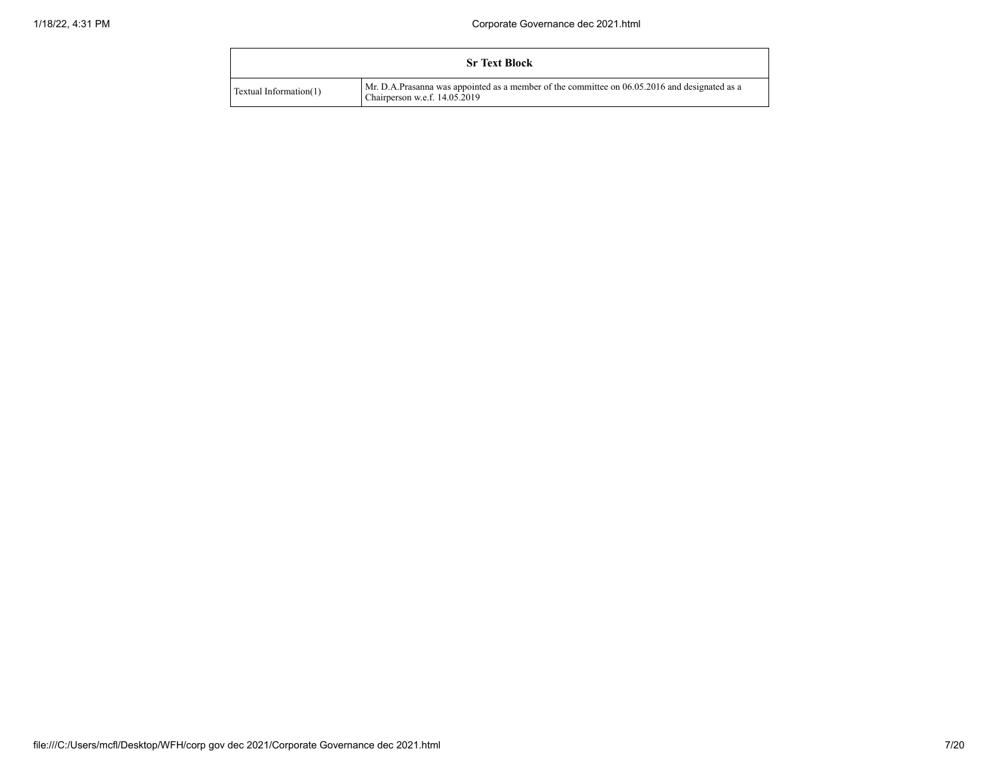|                        | <b>Sr Text Block</b>                                                                                                           |
|------------------------|--------------------------------------------------------------------------------------------------------------------------------|
| Textual Information(1) | Mr. D.A.Prasanna was appointed as a member of the committee on 06.05.2016 and designated as a<br>Chairperson w.e.f. 14.05.2019 |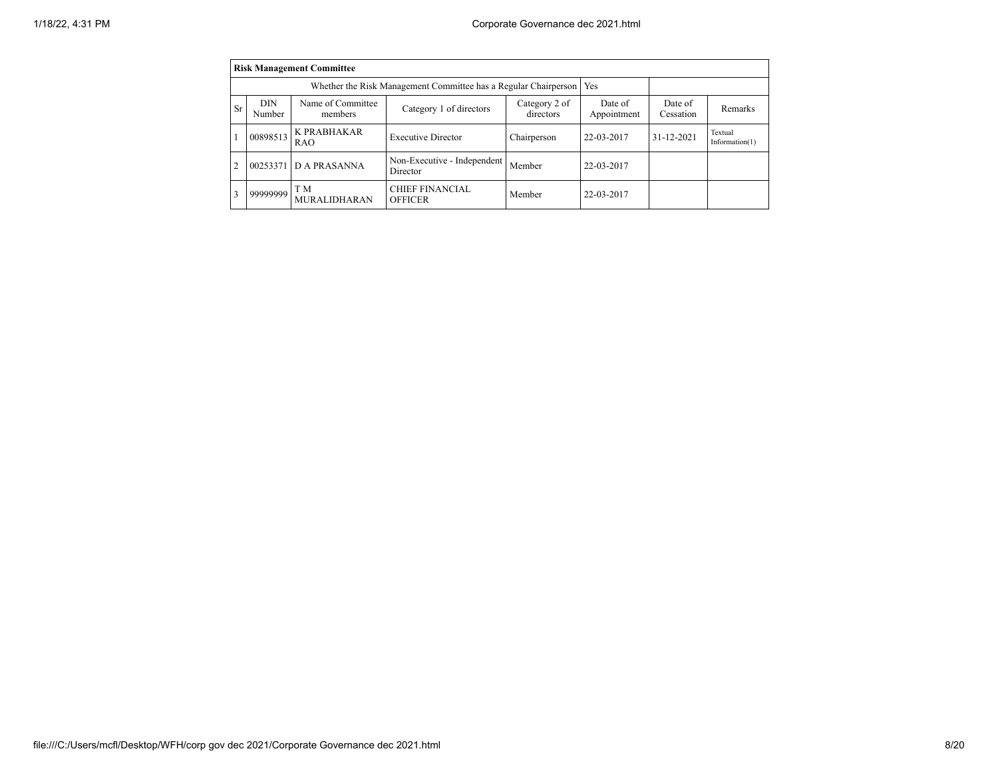|                | <b>Risk Management Committee</b> |                                                                       |                                          |                            |                        |                      |                              |  |  |  |
|----------------|----------------------------------|-----------------------------------------------------------------------|------------------------------------------|----------------------------|------------------------|----------------------|------------------------------|--|--|--|
|                |                                  | Whether the Risk Management Committee has a Regular Chairperson   Yes |                                          |                            |                        |                      |                              |  |  |  |
| Sr             | <b>DIN</b><br>Number             | Name of Committee<br>members                                          | Category 1 of directors                  | Category 2 of<br>directors | Date of<br>Appointment | Date of<br>Cessation | Remarks                      |  |  |  |
|                | 00898513                         | K PRABHAKAR<br><b>RAO</b>                                             | <b>Executive Director</b>                | Chairperson                | 22-03-2017             | 31-12-2021           | Textual<br>Information $(1)$ |  |  |  |
| $\overline{c}$ | 00253371                         | <b>DA PRASANNA</b>                                                    | Non-Executive - Independent<br>Director  | Member                     | 22-03-2017             |                      |                              |  |  |  |
| 3              | 99999999                         | T M<br><b>MURALIDHARAN</b>                                            | <b>CHIEF FINANCIAL</b><br><b>OFFICER</b> | Member                     | 22-03-2017             |                      |                              |  |  |  |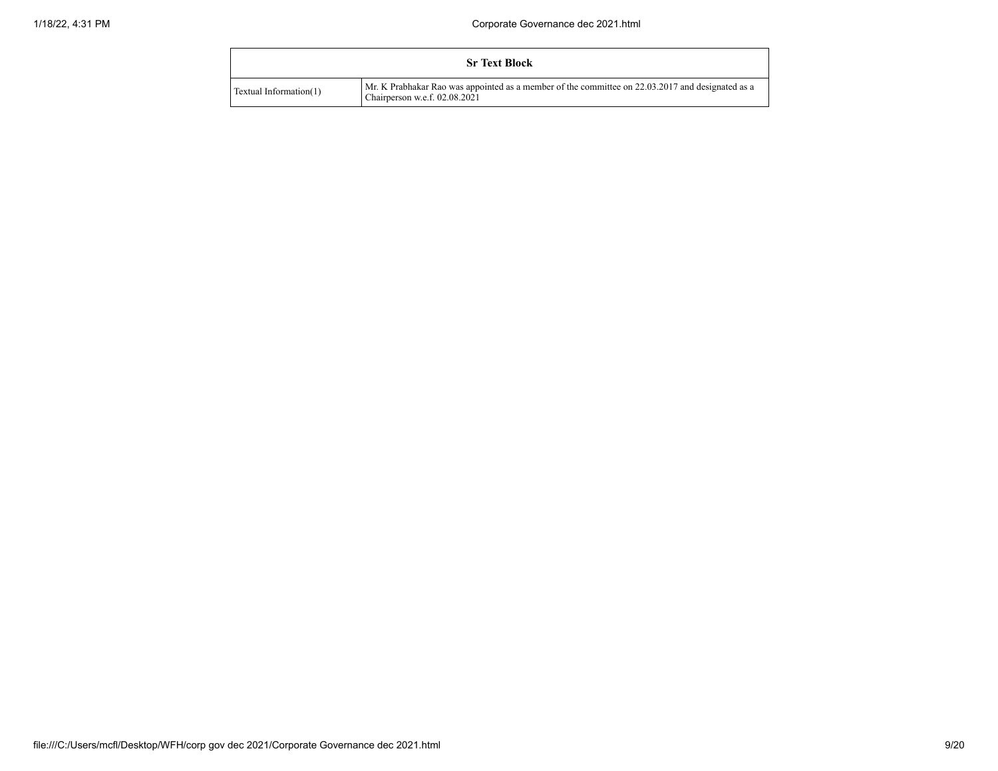|                        | <b>Sr Text Block</b>                                                                                                                |
|------------------------|-------------------------------------------------------------------------------------------------------------------------------------|
| Textual Information(1) | Mr. K Prabhakar Rao was appointed as a member of the committee on 22.03.2017 and designated as a<br>Chairperson w.e.f. $02.08.2021$ |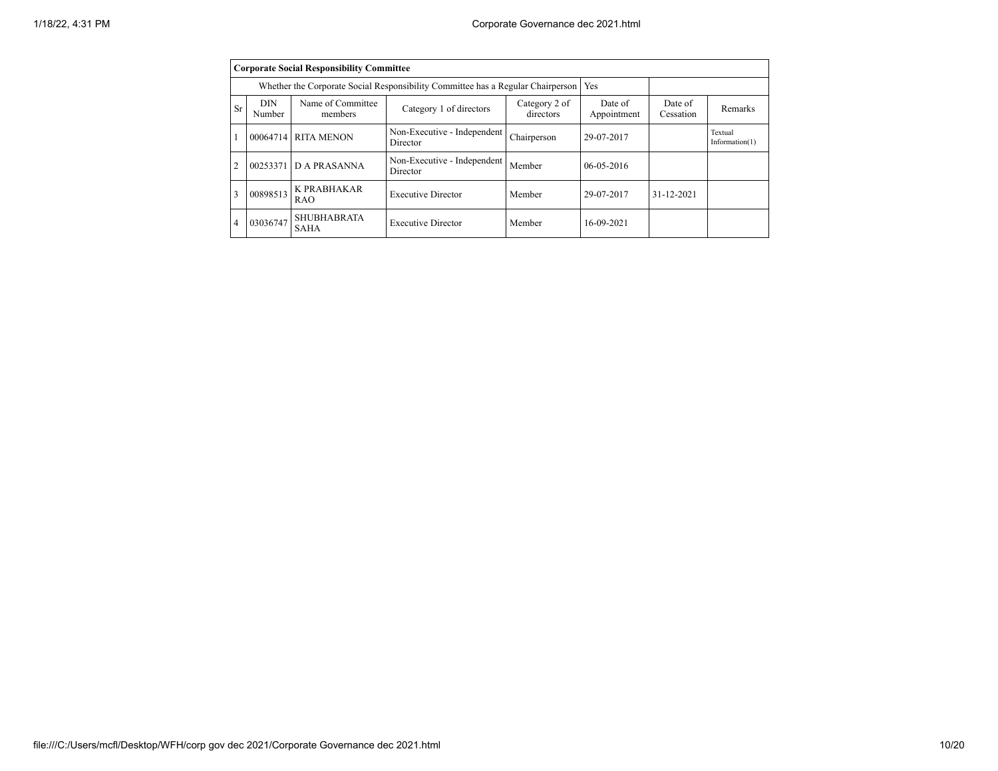|                |                      | <b>Corporate Social Responsibility Committee</b>                                |                                         |                            |                        |                      |                              |
|----------------|----------------------|---------------------------------------------------------------------------------|-----------------------------------------|----------------------------|------------------------|----------------------|------------------------------|
|                |                      | Whether the Corporate Social Responsibility Committee has a Regular Chairperson | Yes                                     |                            |                        |                      |                              |
| Sr             | <b>DIN</b><br>Number | Name of Committee<br>members                                                    | Category 1 of directors                 | Category 2 of<br>directors | Date of<br>Appointment | Date of<br>Cessation | Remarks                      |
|                | 00064714 RITA MENON  |                                                                                 | Non-Executive - Independent<br>Director | Chairperson                | 29-07-2017             |                      | Textual<br>Information $(1)$ |
| $\overline{c}$ |                      | 00253371 D A PRASANNA                                                           | Non-Executive - Independent<br>Director | Member                     | $06 - 05 - 2016$       |                      |                              |
| 3              | 00898513             | K PRABHAKAR<br><b>RAO</b>                                                       | <b>Executive Director</b>               | Member                     | 29-07-2017             | 31-12-2021           |                              |
| 4              | 03036747             | <b>SHUBHABRATA</b><br><b>SAHA</b>                                               | <b>Executive Director</b>               | Member                     | 16-09-2021             |                      |                              |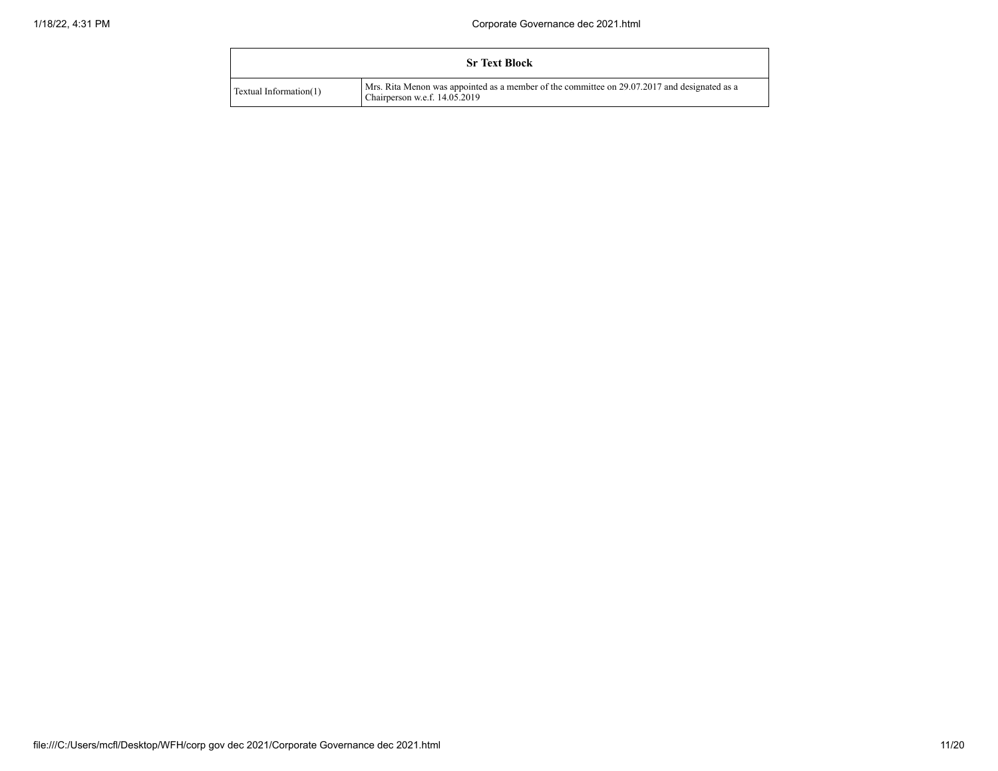|                        | <b>Sr Text Block</b>                                                                                                            |
|------------------------|---------------------------------------------------------------------------------------------------------------------------------|
| Textual Information(1) | Mrs. Rita Menon was appointed as a member of the committee on 29.07.2017 and designated as a<br>Chairperson w.e.f. $14.05.2019$ |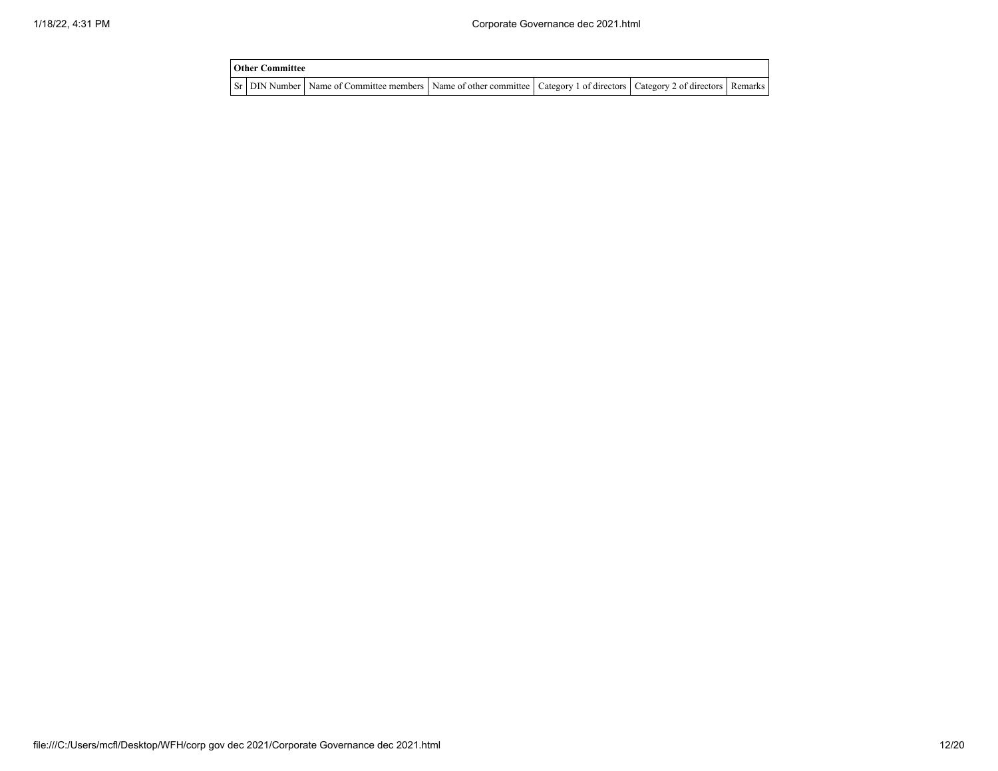| <b>Other Committee</b> |                                                                                                                         |  |  |
|------------------------|-------------------------------------------------------------------------------------------------------------------------|--|--|
|                        | Sr DIN Number Name of Committee members Name of other committee Category 1 of directors Category 2 of directors Remarks |  |  |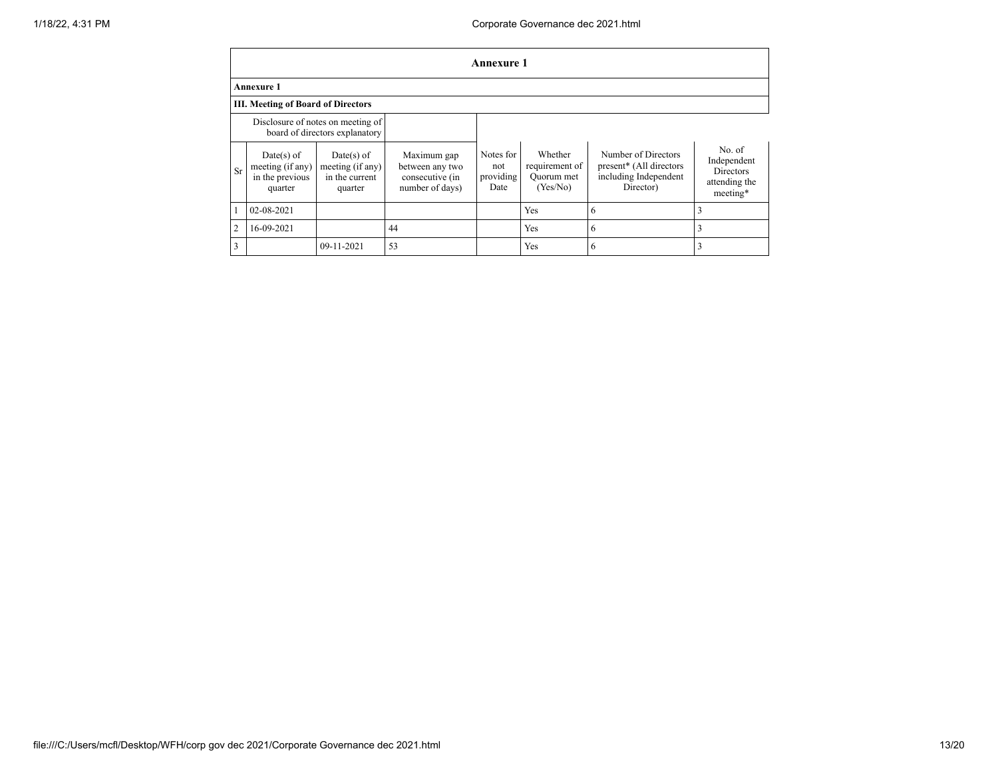|    | Annexure 1                                           |                                                                     |                                                   |                               |                                                 |                                                                                      |                                    |
|----|------------------------------------------------------|---------------------------------------------------------------------|---------------------------------------------------|-------------------------------|-------------------------------------------------|--------------------------------------------------------------------------------------|------------------------------------|
|    | <b>Annexure 1</b>                                    |                                                                     |                                                   |                               |                                                 |                                                                                      |                                    |
|    | III. Meeting of Board of Directors                   |                                                                     |                                                   |                               |                                                 |                                                                                      |                                    |
|    |                                                      | Disclosure of notes on meeting of<br>board of directors explanatory |                                                   |                               |                                                 |                                                                                      |                                    |
| Sr | $Date(s)$ of<br>meeting (if any)<br>in the nearions. | $Date(s)$ of<br>meeting $(i f any)$<br>in the ourset                | Maximum gap<br>between any two<br>conconting line | Notes for<br>not<br>providing | Whether<br>requirement of<br>$\Omega$ uarum mat | Number of Directors<br>present <sup>*</sup> (All directors)<br>ingluding Indonesiant | No. of<br>Independent<br>Directors |

| $\mathbf{D}$ | in the previous<br>quarter | in the current<br>quarter | consecutive (in<br>number of days) | providing<br>Date | Ouorum met<br>(Yes/No) | including Independent<br>Director) | DIFECTOLS<br>attending the<br>meeting* |
|--------------|----------------------------|---------------------------|------------------------------------|-------------------|------------------------|------------------------------------|----------------------------------------|
|              | 02-08-2021                 |                           |                                    |                   | Yes                    |                                    |                                        |
|              | 16-09-2021                 |                           | 44                                 |                   | Yes                    |                                    |                                        |
|              |                            | 09-11-2021                | 53                                 |                   | Yes                    |                                    |                                        |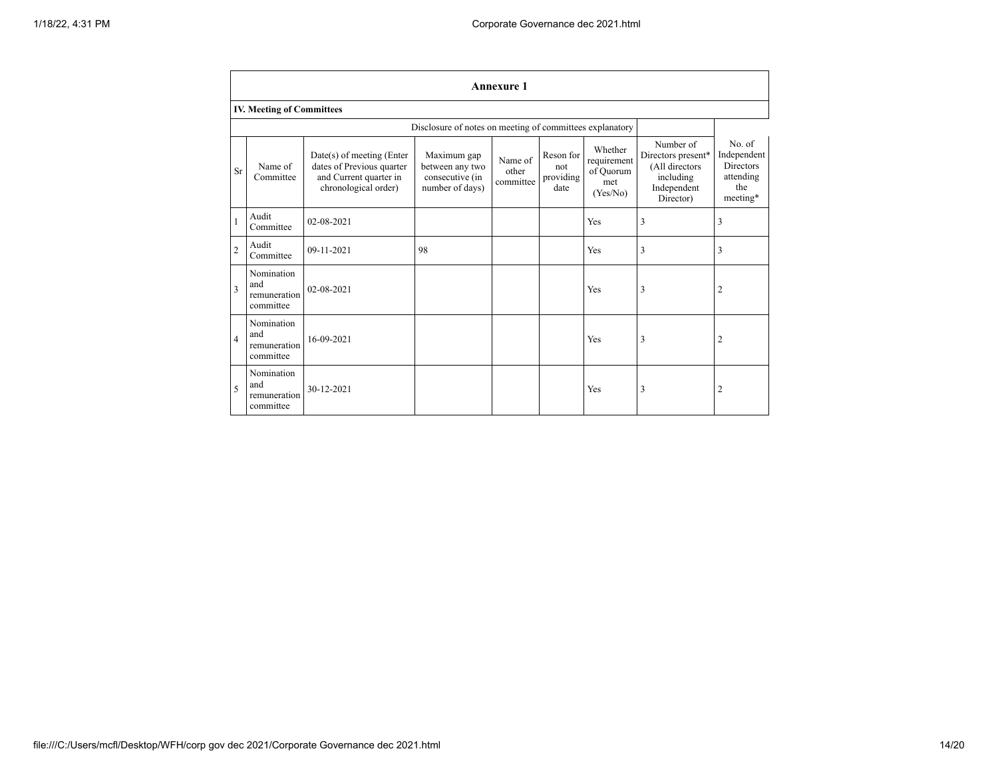|                | <b>Annexure 1</b>                                        |                                                                                                            |                                                                      |                               |                                       |                                                        |                                                                                            |                                                                    |
|----------------|----------------------------------------------------------|------------------------------------------------------------------------------------------------------------|----------------------------------------------------------------------|-------------------------------|---------------------------------------|--------------------------------------------------------|--------------------------------------------------------------------------------------------|--------------------------------------------------------------------|
|                | <b>IV. Meeting of Committees</b>                         |                                                                                                            |                                                                      |                               |                                       |                                                        |                                                                                            |                                                                    |
|                | Disclosure of notes on meeting of committees explanatory |                                                                                                            |                                                                      |                               |                                       |                                                        |                                                                                            |                                                                    |
| Sr             | Name of<br>Committee                                     | $Date(s)$ of meeting (Enter<br>dates of Previous quarter<br>and Current quarter in<br>chronological order) | Maximum gap<br>between any two<br>consecutive (in<br>number of days) | Name of<br>other<br>committee | Reson for<br>not<br>providing<br>date | Whether<br>requirement<br>of Ouorum<br>met<br>(Yes/No) | Number of<br>Directors present*<br>(All directors<br>including<br>Independent<br>Director) | No. of<br>Independent<br>Directors<br>attending<br>the<br>meeting* |
| $\mathbf{1}$   | Audit<br>Committee                                       | 02-08-2021                                                                                                 |                                                                      |                               |                                       | Yes                                                    | 3                                                                                          | 3                                                                  |
| $\overline{c}$ | Audit<br>Committee                                       | 09-11-2021                                                                                                 | 98                                                                   |                               |                                       | Yes                                                    | 3                                                                                          | 3                                                                  |
| 3              | Nomination<br>and<br>remuneration<br>committee           | 02-08-2021                                                                                                 |                                                                      |                               |                                       | Yes                                                    | 3                                                                                          | 2                                                                  |
| $\overline{4}$ | Nomination<br>and<br>remuneration<br>committee           | 16-09-2021                                                                                                 |                                                                      |                               |                                       | Yes                                                    | 3                                                                                          | 2                                                                  |
| 5              | Nomination<br>and<br>remuneration<br>committee           | 30-12-2021                                                                                                 |                                                                      |                               |                                       | Yes                                                    | 3                                                                                          | 2                                                                  |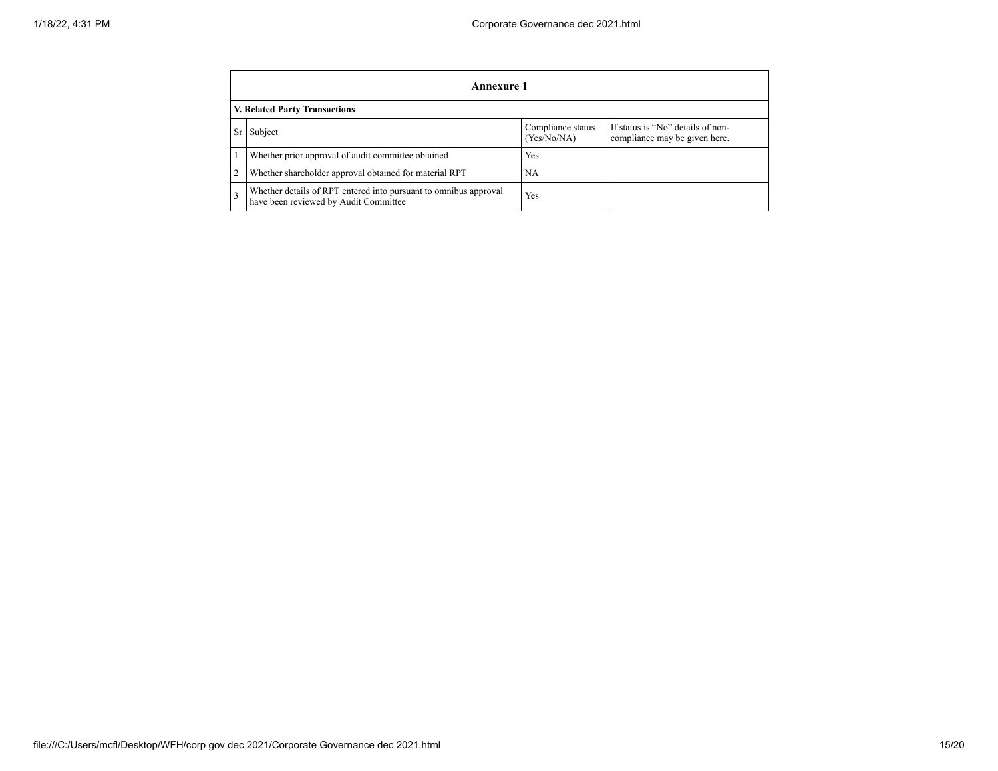| Annexure 1                                                                                                |                                  |                                                                    |  |  |  |
|-----------------------------------------------------------------------------------------------------------|----------------------------------|--------------------------------------------------------------------|--|--|--|
| <b>V. Related Party Transactions</b>                                                                      |                                  |                                                                    |  |  |  |
| Sr Subject                                                                                                | Compliance status<br>(Yes/No/NA) | If status is "No" details of non-<br>compliance may be given here. |  |  |  |
| Whether prior approval of audit committee obtained                                                        | Yes                              |                                                                    |  |  |  |
| Whether shareholder approval obtained for material RPT                                                    | NA.                              |                                                                    |  |  |  |
| Whether details of RPT entered into pursuant to omnibus approval<br>have been reviewed by Audit Committee | Yes                              |                                                                    |  |  |  |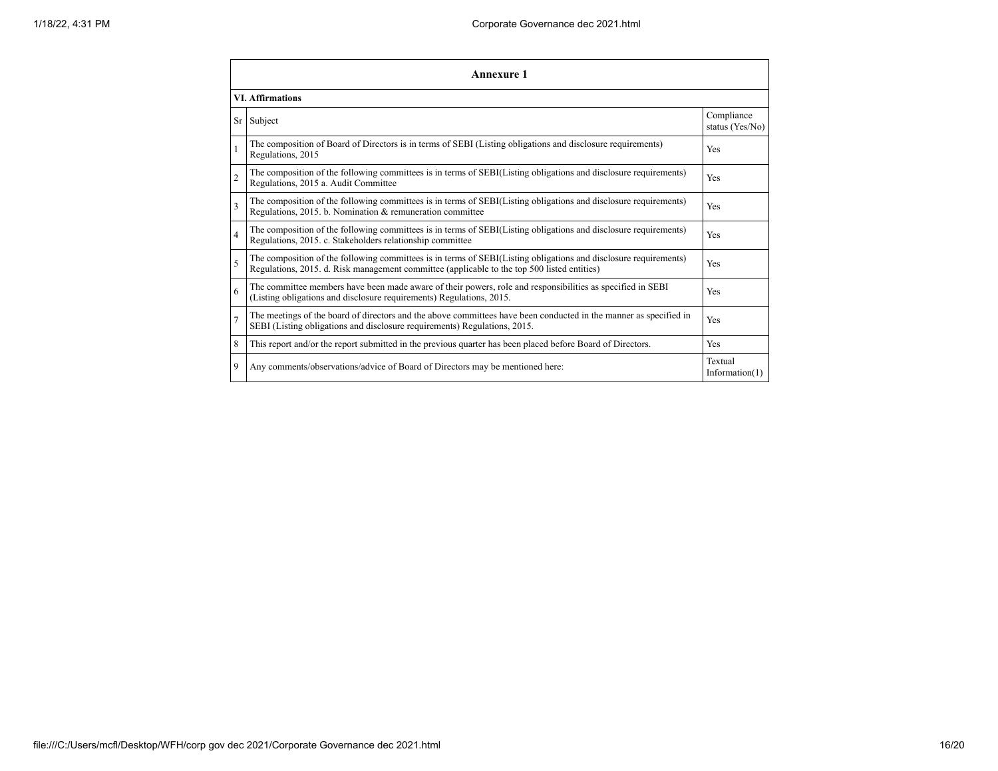|                         | Annexure 1                                                                                                                                                                                                      |                               |  |  |  |  |
|-------------------------|-----------------------------------------------------------------------------------------------------------------------------------------------------------------------------------------------------------------|-------------------------------|--|--|--|--|
|                         | <b>VI. Affirmations</b>                                                                                                                                                                                         |                               |  |  |  |  |
| Sr                      | Subject                                                                                                                                                                                                         | Compliance<br>status (Yes/No) |  |  |  |  |
| $\mathbf{1}$            | The composition of Board of Directors is in terms of SEBI (Listing obligations and disclosure requirements)<br>Regulations, 2015                                                                                | Yes                           |  |  |  |  |
| $\overline{2}$          | The composition of the following committees is in terms of SEBI(Listing obligations and disclosure requirements)<br>Regulations, 2015 a. Audit Committee                                                        | Yes                           |  |  |  |  |
| $\overline{\mathbf{3}}$ | The composition of the following committees is in terms of SEBI(Listing obligations and disclosure requirements)<br>Regulations, 2015. b. Nomination & remuneration committee                                   | Yes                           |  |  |  |  |
| $\overline{4}$          | The composition of the following committees is in terms of SEBI(Listing obligations and disclosure requirements)<br>Regulations, 2015. c. Stakeholders relationship committee                                   | Yes                           |  |  |  |  |
| 5                       | The composition of the following committees is in terms of SEBI(Listing obligations and disclosure requirements)<br>Regulations, 2015. d. Risk management committee (applicable to the top 500 listed entities) | Yes                           |  |  |  |  |
| 6                       | The committee members have been made aware of their powers, role and responsibilities as specified in SEBI<br>(Listing obligations and disclosure requirements) Regulations, 2015.                              | Yes                           |  |  |  |  |
| $\overline{7}$          | The meetings of the board of directors and the above committees have been conducted in the manner as specified in<br>SEBI (Listing obligations and disclosure requirements) Regulations, 2015.                  | Yes                           |  |  |  |  |
| 8                       | This report and/or the report submitted in the previous quarter has been placed before Board of Directors.                                                                                                      | Yes                           |  |  |  |  |
| 9                       | Any comments/observations/advice of Board of Directors may be mentioned here:                                                                                                                                   | Textual<br>Information $(1)$  |  |  |  |  |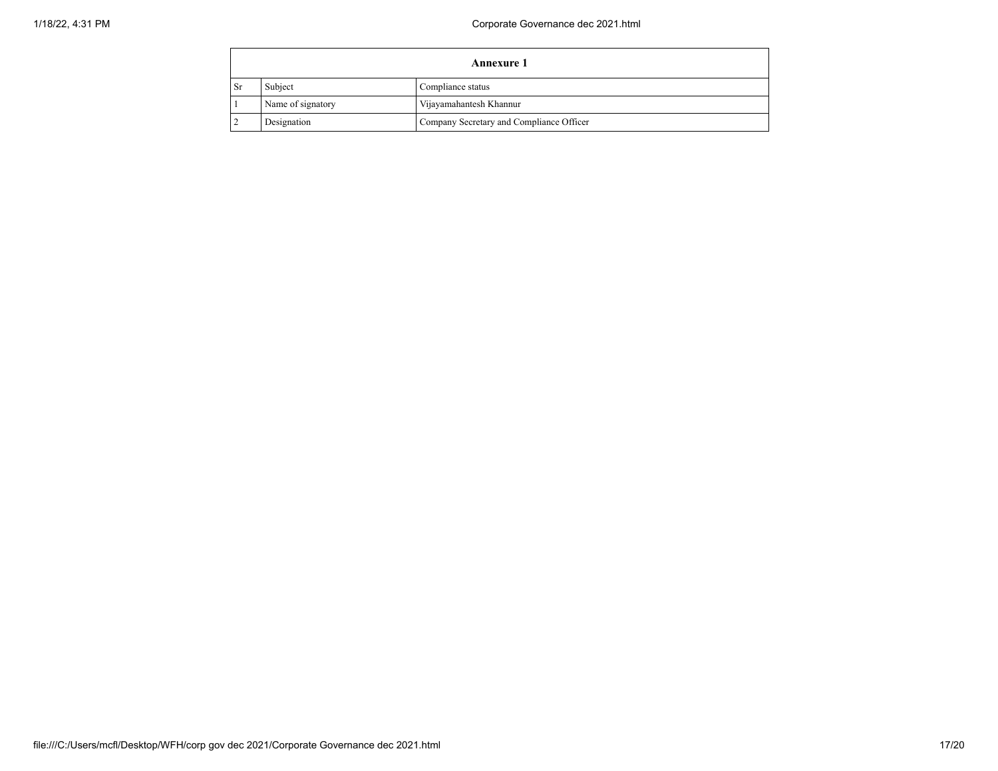|                   | <b>Annexure 1</b>            |                                          |  |  |
|-------------------|------------------------------|------------------------------------------|--|--|
| Sr                | Subject<br>Compliance status |                                          |  |  |
| Name of signatory |                              | Vijayamahantesh Khannur                  |  |  |
|                   | Designation                  | Company Secretary and Compliance Officer |  |  |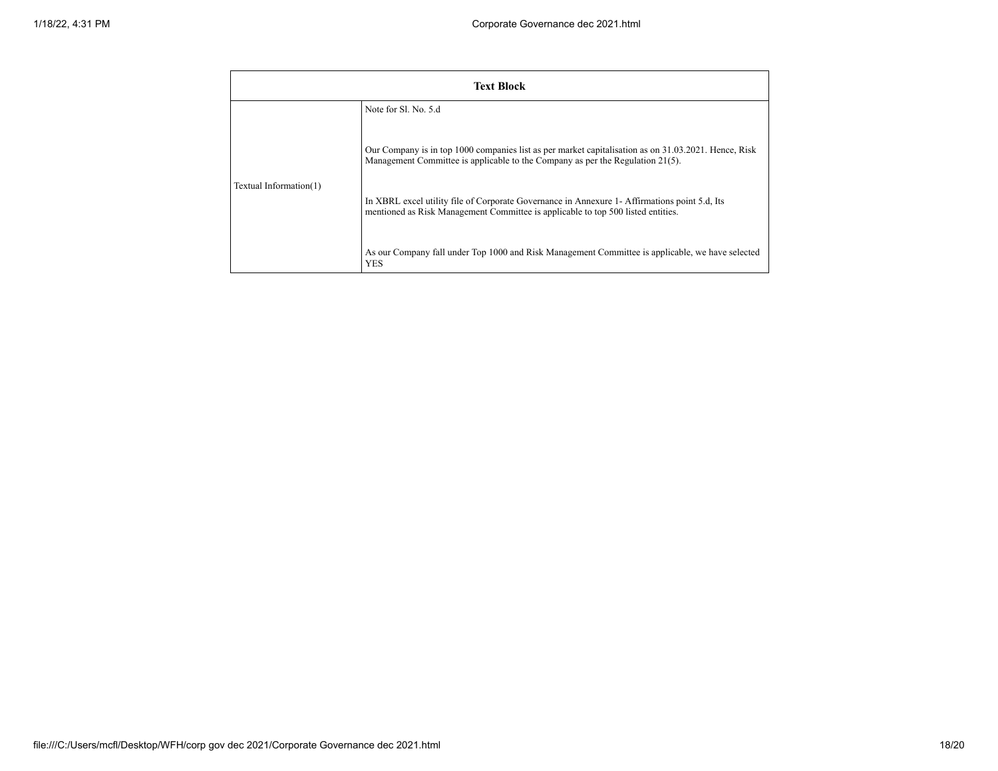| <b>Text Block</b>      |                                                                                                                                                                                        |  |  |  |
|------------------------|----------------------------------------------------------------------------------------------------------------------------------------------------------------------------------------|--|--|--|
|                        | Note for SL No. 5.d                                                                                                                                                                    |  |  |  |
| Textual Information(1) | Our Company is in top 1000 companies list as per market capitalisation as on 31.03.2021. Hence, Risk<br>Management Committee is applicable to the Company as per the Regulation 21(5). |  |  |  |
|                        | In XBRL excel utility file of Corporate Governance in Annexure 1- Affirmations point 5.d, Its<br>mentioned as Risk Management Committee is applicable to top 500 listed entities.      |  |  |  |
|                        | As our Company fall under Top 1000 and Risk Management Committee is applicable, we have selected<br>YES                                                                                |  |  |  |